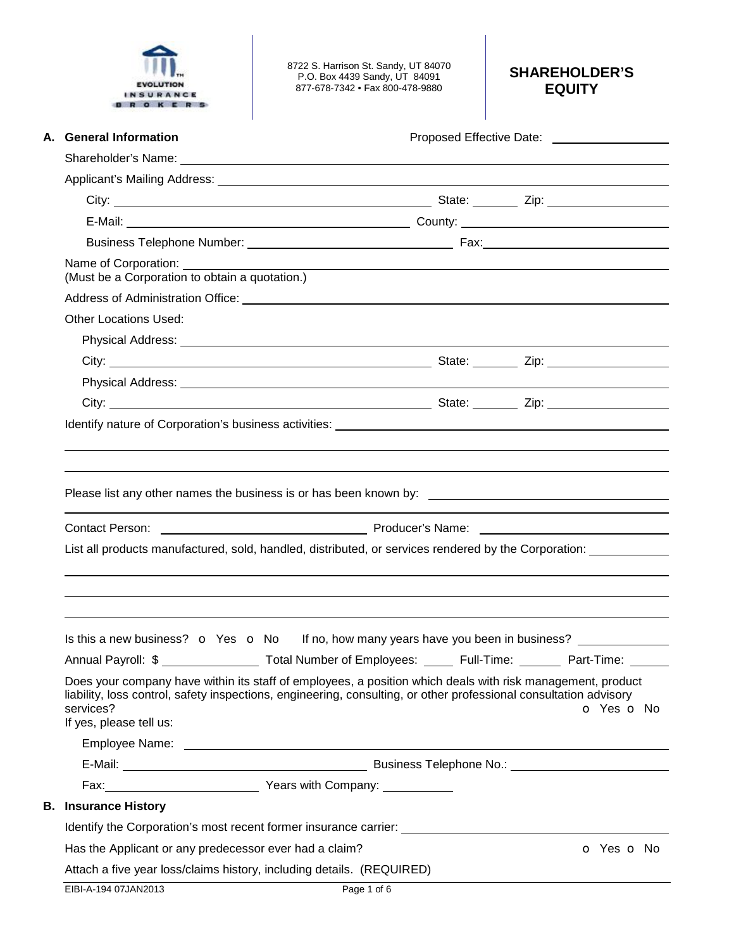| <b>EVOLUTION</b> |  |
|------------------|--|
| <b>NSURANCE</b>  |  |
|                  |  |

8722 S. Harrison St. Sandy, UT 84070 P.O. Box 4439 Sandy, UT 84091 877-678-7342 • Fax 800-478-9880

## **SHAREHOLDER'S EQUITY**

| A. General Information                                 | Proposed Effective Date: ____________________                                                                                                                                                                                                                                                     |
|--------------------------------------------------------|---------------------------------------------------------------------------------------------------------------------------------------------------------------------------------------------------------------------------------------------------------------------------------------------------|
|                                                        |                                                                                                                                                                                                                                                                                                   |
|                                                        |                                                                                                                                                                                                                                                                                                   |
|                                                        |                                                                                                                                                                                                                                                                                                   |
|                                                        |                                                                                                                                                                                                                                                                                                   |
|                                                        |                                                                                                                                                                                                                                                                                                   |
| (Must be a Corporation to obtain a quotation.)         |                                                                                                                                                                                                                                                                                                   |
|                                                        | Address of Administration Office: <u>Community and Contract and Contract and Contract and Contract and Contract and Contract and Contract and Contract and Contract and Contract and Contract and Contract and Contract and Cont</u>                                                              |
| <b>Other Locations Used:</b>                           |                                                                                                                                                                                                                                                                                                   |
|                                                        | Physical Address: <u>New York: New York: New York: New York: New York: New York: New York: New York: New York: New York: New York: New York: New York: New York: New York: New York: New York: New York: New York: New York: New</u>                                                              |
|                                                        |                                                                                                                                                                                                                                                                                                   |
|                                                        |                                                                                                                                                                                                                                                                                                   |
|                                                        |                                                                                                                                                                                                                                                                                                   |
|                                                        |                                                                                                                                                                                                                                                                                                   |
|                                                        |                                                                                                                                                                                                                                                                                                   |
|                                                        |                                                                                                                                                                                                                                                                                                   |
|                                                        | Contact Person: <u>Contact Person:</u> Contact Person: Contact Person: Contact Person:<br>List all products manufactured, sold, handled, distributed, or services rendered by the Corporation:<br>Is this a new business? $\circ$ Yes $\circ$ No If no, how many years have you been in business? |
|                                                        |                                                                                                                                                                                                                                                                                                   |
| services?<br>If yes, please tell us:                   | Does your company have within its staff of employees, a position which deals with risk management, product<br>liability, loss control, safety inspections, engineering, consulting, or other professional consultation advisory<br>O Yes O No                                                     |
|                                                        |                                                                                                                                                                                                                                                                                                   |
|                                                        |                                                                                                                                                                                                                                                                                                   |
|                                                        |                                                                                                                                                                                                                                                                                                   |
| <b>B.</b> Insurance History                            | Annual Payroll: \$ ___________________ Total Number of Employees: ______ Full-Time: _______ Part-Time: ______                                                                                                                                                                                     |
| Has the Applicant or any predecessor ever had a claim? | Identify the Corporation's most recent former insurance carrier: ___________________________________<br>o Yes o No                                                                                                                                                                                |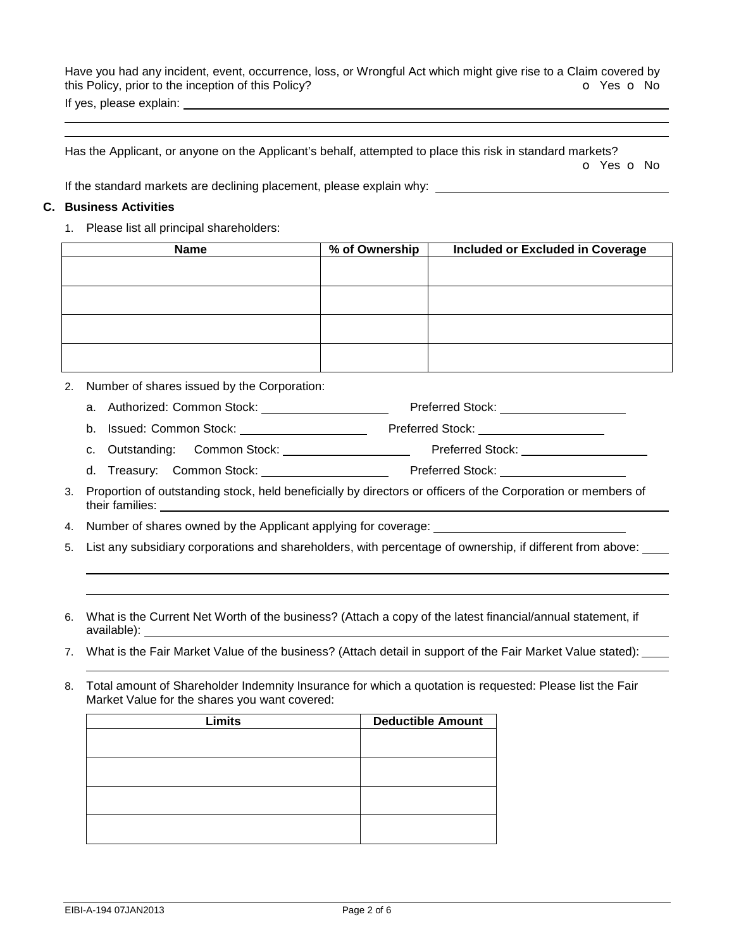Have you had any incident, event, occurrence, loss, or Wrongful Act which might give rise to a Claim covered by this Policy, prior to the inception of this Policy? **o** Yes **o** No If yes, please explain:

Has the Applicant, or anyone on the Applicant's behalf, attempted to place this risk in standard markets? o Yes o No

If the standard markets are declining placement, please explain why:

## **C. Business Activities**

 

1. Please list all principal shareholders:

| <b>Name</b> | % of Ownership | Included or Excluded in Coverage |
|-------------|----------------|----------------------------------|
|             |                |                                  |
|             |                |                                  |
|             |                |                                  |
|             |                |                                  |
|             |                |                                  |
|             |                |                                  |
|             |                |                                  |
|             |                |                                  |

- 2. Number of shares issued by the Corporation:
	- a. Authorized: Common Stock: Preferred Stock:
	- b. Issued: Common Stock: Preferred Stock:
	- c. Outstanding: Common Stock: Preferred Stock:
	- d. Treasury: Common Stock: \_\_\_\_\_\_\_\_\_\_\_\_\_\_\_\_\_\_\_\_\_\_\_ Preferred Stock: \_\_\_\_
- 3. Proportion of outstanding stock, held beneficially by directors or officers of the Corporation or members of their families:
- 4. Number of shares owned by the Applicant applying for coverage:
- 5. List any subsidiary corporations and shareholders, with percentage of ownership, if different from above:
- 6. What is the Current Net Worth of the business? (Attach a copy of the latest financial/annual statement, if available):
- 7. What is the Fair Market Value of the business? (Attach detail in support of the Fair Market Value stated):
- 8. Total amount of Shareholder Indemnity Insurance for which a quotation is requested: Please list the Fair Market Value for the shares you want covered:

| Limits | <b>Deductible Amount</b> |
|--------|--------------------------|
|        |                          |
|        |                          |
|        |                          |
|        |                          |
|        |                          |
|        |                          |
|        |                          |
|        |                          |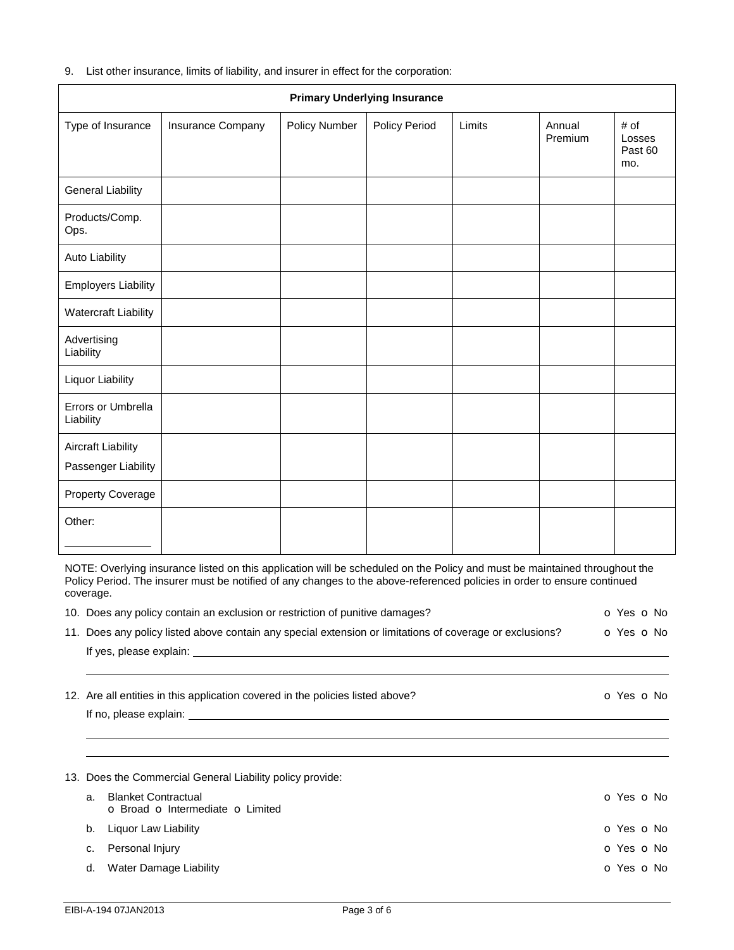|  |  |  |  | 9. List other insurance, limits of liability, and insurer in effect for the corporation: |
|--|--|--|--|------------------------------------------------------------------------------------------|
|--|--|--|--|------------------------------------------------------------------------------------------|

| <b>Primary Underlying Insurance</b>              |                   |               |               |        |                   |                                  |
|--------------------------------------------------|-------------------|---------------|---------------|--------|-------------------|----------------------------------|
| Type of Insurance                                | Insurance Company | Policy Number | Policy Period | Limits | Annual<br>Premium | # of<br>Losses<br>Past 60<br>mo. |
| <b>General Liability</b>                         |                   |               |               |        |                   |                                  |
| Products/Comp.<br>Ops.                           |                   |               |               |        |                   |                                  |
| Auto Liability                                   |                   |               |               |        |                   |                                  |
| <b>Employers Liability</b>                       |                   |               |               |        |                   |                                  |
| <b>Watercraft Liability</b>                      |                   |               |               |        |                   |                                  |
| Advertising<br>Liability                         |                   |               |               |        |                   |                                  |
| <b>Liquor Liability</b>                          |                   |               |               |        |                   |                                  |
| Errors or Umbrella<br>Liability                  |                   |               |               |        |                   |                                  |
| <b>Aircraft Liability</b><br>Passenger Liability |                   |               |               |        |                   |                                  |
| <b>Property Coverage</b>                         |                   |               |               |        |                   |                                  |
| Other:                                           |                   |               |               |        |                   |                                  |

NOTE: Overlying insurance listed on this application will be scheduled on the Policy and must be maintained throughout the Policy Period. The insurer must be notified of any changes to the above-referenced policies in order to ensure continued coverage.

|                | 10. Does any policy contain an exclusion or restriction of punitive damages?                             | o Yes o No               |  |
|----------------|----------------------------------------------------------------------------------------------------------|--------------------------|--|
|                | 11. Does any policy listed above contain any special extension or limitations of coverage or exclusions? | O Yes O No               |  |
|                |                                                                                                          |                          |  |
|                | 12. Are all entities in this application covered in the policies listed above?                           | <b>O</b> Yes <b>O</b> No |  |
|                |                                                                                                          |                          |  |
|                | 13. Does the Commercial General Liability policy provide:                                                |                          |  |
| a <sub>1</sub> | <b>Blanket Contractual</b><br><b>o</b> Broad <b>o</b> Intermediate <b>o</b> Limited                      | $O$ Yes $O$ No           |  |
| b.             | Liquor Law Liability                                                                                     | O Yes O No               |  |
| c.             | Personal Injury                                                                                          | o Yes o No               |  |
| d.             | Water Damage Liability                                                                                   | o Yes o No               |  |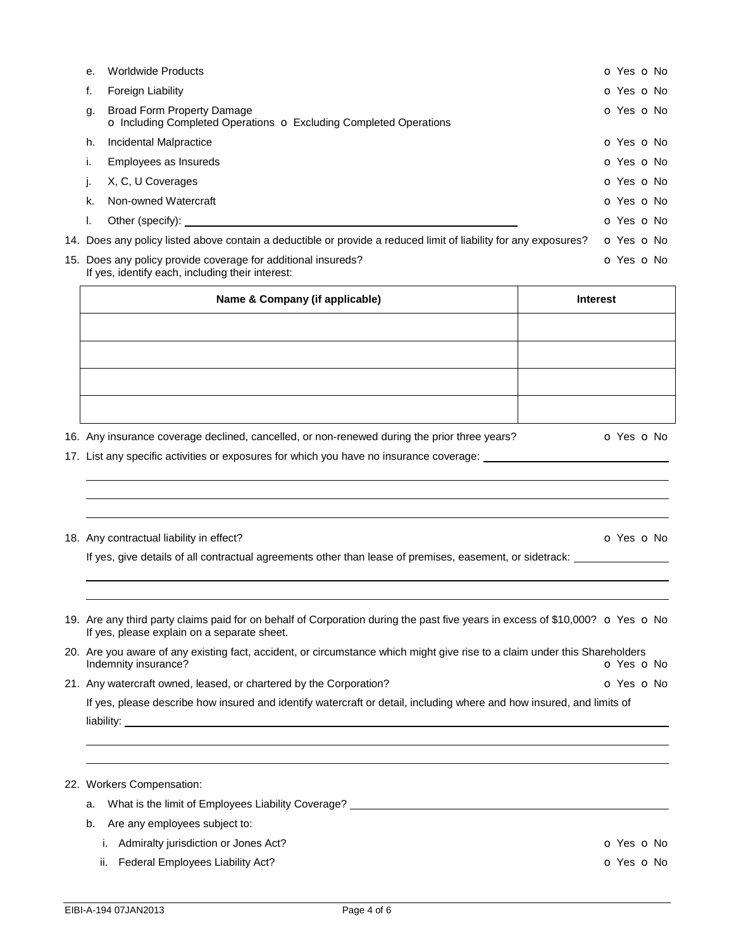|    | $\cdots$                                                                                                          |            |
|----|-------------------------------------------------------------------------------------------------------------------|------------|
|    | 15. Does any policy provide coverage for additional insureds?<br>If yes, identify each, including their interest: | o Yes o No |
|    | 14. Does any policy listed above contain a deductible or provide a reduced limit of liability for any exposures?  | o Yes o No |
|    | Other (specify):                                                                                                  | o Yes o No |
| k. | Non-owned Watercraft                                                                                              | O Yes O No |
|    | X, C, U Coverages                                                                                                 | o Yes o No |
|    | Employees as Insureds                                                                                             | O Yes O No |
| h. | Incidental Malpractice                                                                                            | o Yes o No |
| g. | <b>Broad Form Property Damage</b><br>o Including Completed Operations o Excluding Completed Operations            | o Yes o No |
| f. | Foreign Liability                                                                                                 | o Yes o No |
| е. | <b>Worldwide Products</b>                                                                                         | O Yes O No |

| <b>Interest</b> |
|-----------------|
|                 |
|                 |
|                 |
|                 |
|                 |

16. Any insurance coverage declined, cancelled, or non-renewed during the prior three years?  $\bullet$  Yes  $\bullet$  No

17. List any specific activities or exposures for which you have no insurance coverage:

18. Any contractual liability in effect? Contractual liability in effect?

֦

l

֦ ֦

֦ l

If yes, give details of all contractual agreements other than lease of premises, easement, or sidetrack:

- 19. Are any third party claims paid for on behalf of Corporation during the past five years in excess of \$10,000?  $\bullet$  Yes  $\bullet$  No If yes, please explain on a separate sheet.
- 20. Are you aware of any existing fact, accident, or circumstance which might give rise to a claim under this Shareholders Indemnity insurance? **o Yes o No**
- 21. Any watercraft owned, leased, or chartered by the Corporation? **O Yes O No** Yes **O No**

If yes, please describe how insured and identify watercraft or detail, including where and how insured, and limits of liability:

|  |  | 22. Workers Compensation: |
|--|--|---------------------------|
|--|--|---------------------------|

- a. What is the limit of Employees Liability Coverage? \_\_\_\_\_\_\_\_\_\_\_\_\_\_\_\_\_\_\_\_\_\_\_\_\_\_
- b. Are any employees subject to:
	- i. Admiralty jurisdiction or Jones Act? **o Contact Active Active Active Active Active Active Active Active Activ**
	- ii. Federal Employees Liability Act? **o Case of Activity Active Active Active Active Active Active Active Active**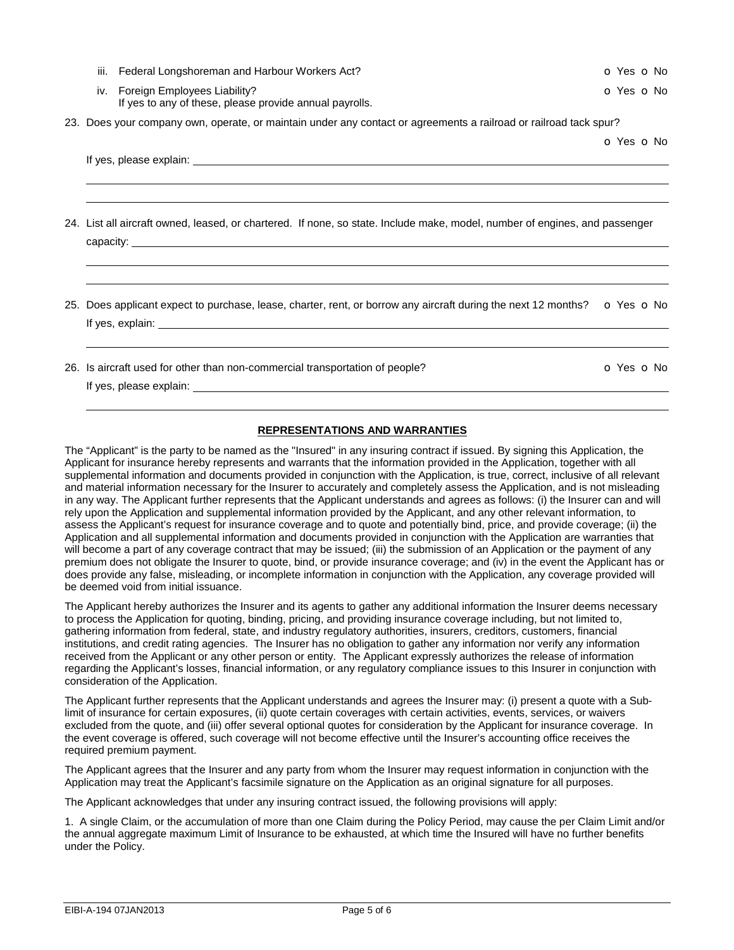| iv. Foreign Employees Liability?<br>If yes to any of these, please provide annual payrolls.                                                                                                                                                                                                                                                                                 | o Yes o No |
|-----------------------------------------------------------------------------------------------------------------------------------------------------------------------------------------------------------------------------------------------------------------------------------------------------------------------------------------------------------------------------|------------|
| 23. Does your company own, operate, or maintain under any contact or agreements a railroad or railroad tack spur?                                                                                                                                                                                                                                                           |            |
|                                                                                                                                                                                                                                                                                                                                                                             | o Yes o No |
|                                                                                                                                                                                                                                                                                                                                                                             |            |
| 24. List all aircraft owned, leased, or chartered. If none, so state. Include make, model, number of engines, and passenger<br>capacity: expansion of the contract of the contract of the contract of the contract of the contract of the contract of the contract of the contract of the contract of the contract of the contract of the contract of the con               |            |
| 25. Does applicant expect to purchase, lease, charter, rent, or borrow any aircraft during the next 12 months? $\bullet$ Yes $\bullet$ No<br>If yes, explain: the same state of the state of the state of the state of the state of the state of the state of the state of the state of the state of the state of the state of the state of the state of the state of the s |            |

iii. Federal Longshoreman and Harbour Workers Act? **o Containers Active Active Active Active Active Active Active** 

26. Is aircraft used for other than non-commercial transportation of people? **o Solution** of Yes **o** No

If yes, please explain:

֦

## **REPRESENTATIONS AND WARRANTIES**

The "Applicant" is the party to be named as the "Insured" in any insuring contract if issued. By signing this Application, the Applicant for insurance hereby represents and warrants that the information provided in the Application, together with all supplemental information and documents provided in conjunction with the Application, is true, correct, inclusive of all relevant and material information necessary for the Insurer to accurately and completely assess the Application, and is not misleading in any way. The Applicant further represents that the Applicant understands and agrees as follows: (i) the Insurer can and will rely upon the Application and supplemental information provided by the Applicant, and any other relevant information, to assess the Applicant's request for insurance coverage and to quote and potentially bind, price, and provide coverage; (ii) the Application and all supplemental information and documents provided in conjunction with the Application are warranties that will become a part of any coverage contract that may be issued; (iii) the submission of an Application or the payment of any premium does not obligate the Insurer to quote, bind, or provide insurance coverage; and (iv) in the event the Applicant has or does provide any false, misleading, or incomplete information in conjunction with the Application, any coverage provided will be deemed void from initial issuance.

The Applicant hereby authorizes the Insurer and its agents to gather any additional information the Insurer deems necessary to process the Application for quoting, binding, pricing, and providing insurance coverage including, but not limited to, gathering information from federal, state, and industry regulatory authorities, insurers, creditors, customers, financial institutions, and credit rating agencies. The Insurer has no obligation to gather any information nor verify any information received from the Applicant or any other person or entity. The Applicant expressly authorizes the release of information regarding the Applicant's losses, financial information, or any regulatory compliance issues to this Insurer in conjunction with consideration of the Application.

The Applicant further represents that the Applicant understands and agrees the Insurer may: (i) present a quote with a Sublimit of insurance for certain exposures, (ii) quote certain coverages with certain activities, events, services, or waivers excluded from the quote, and (iii) offer several optional quotes for consideration by the Applicant for insurance coverage. In the event coverage is offered, such coverage will not become effective until the Insurer's accounting office receives the required premium payment.

The Applicant agrees that the Insurer and any party from whom the Insurer may request information in conjunction with the Application may treat the Applicant's facsimile signature on the Application as an original signature for all purposes.

The Applicant acknowledges that under any insuring contract issued, the following provisions will apply:

1. A single Claim, or the accumulation of more than one Claim during the Policy Period, may cause the per Claim Limit and/or the annual aggregate maximum Limit of Insurance to be exhausted, at which time the Insured will have no further benefits under the Policy.